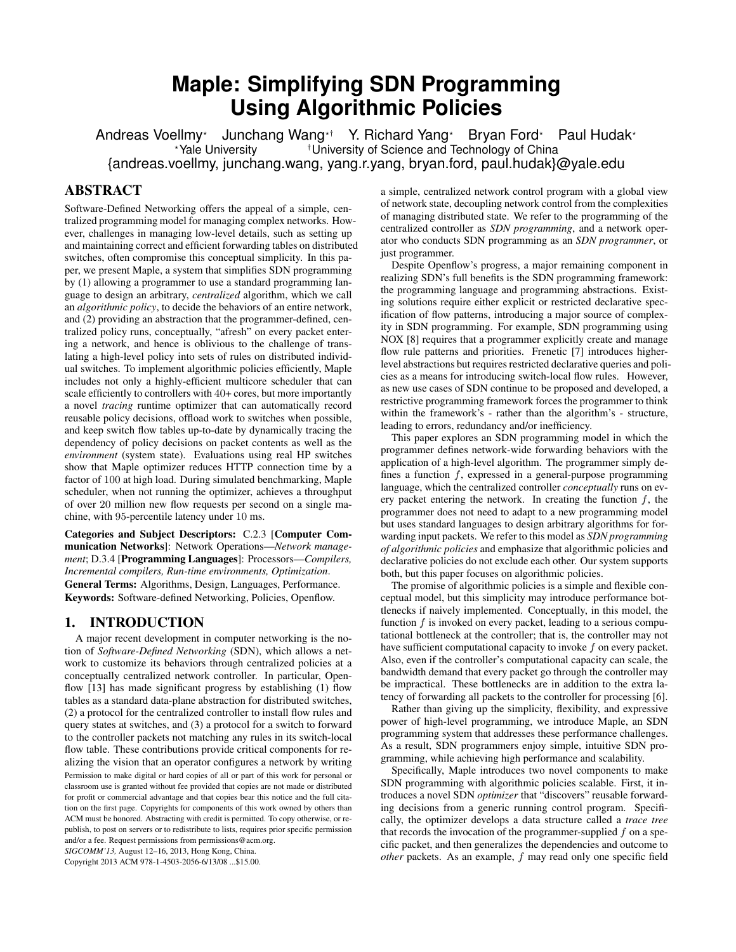# **Maple: Simplifying SDN Programming Using Algorithmic Policies**

Andreas Voellmy<sup>\*</sup> Junchang Wang<sup>\*†</sup> Y. Richard Yang<sup>\*</sup> Bryan Ford<sup>\*</sup> Paul Hudak\* \*Yale University **the Contact interpretent in the University of Science and Technology of China** {andreas.voellmy, junchang.wang, yang.r.yang, bryan.ford, paul.hudak}@yale.edu

## ABSTRACT

Software-Defined Networking offers the appeal of a simple, centralized programming model for managing complex networks. However, challenges in managing low-level details, such as setting up and maintaining correct and efficient forwarding tables on distributed switches, often compromise this conceptual simplicity. In this paper, we present Maple, a system that simplifies SDN programming by (1) allowing a programmer to use a standard programming language to design an arbitrary, *centralized* algorithm, which we call an *algorithmic policy*, to decide the behaviors of an entire network, and (2) providing an abstraction that the programmer-defined, centralized policy runs, conceptually, "afresh" on every packet entering a network, and hence is oblivious to the challenge of translating a high-level policy into sets of rules on distributed individual switches. To implement algorithmic policies efficiently, Maple includes not only a highly-efficient multicore scheduler that can scale efficiently to controllers with 40+ cores, but more importantly a novel *tracing* runtime optimizer that can automatically record reusable policy decisions, offload work to switches when possible, and keep switch flow tables up-to-date by dynamically tracing the dependency of policy decisions on packet contents as well as the *environment* (system state). Evaluations using real HP switches show that Maple optimizer reduces HTTP connection time by a factor of 100 at high load. During simulated benchmarking, Maple scheduler, when not running the optimizer, achieves a throughput of over 20 million new flow requests per second on a single machine, with 95-percentile latency under 10 ms.

Categories and Subject Descriptors: C.2.3 [Computer Communication Networks]: Network Operations—*Network management*; D.3.4 [Programming Languages]: Processors—*Compilers, Incremental compilers, Run-time environments, Optimization*. General Terms: Algorithms, Design, Languages, Performance. Keywords: Software-defined Networking, Policies, Openflow.

## 1. INTRODUCTION

A major recent development in computer networking is the notion of *Software-Defined Networking* (SDN), which allows a network to customize its behaviors through centralized policies at a conceptually centralized network controller. In particular, Openflow [13] has made significant progress by establishing (1) flow tables as a standard data-plane abstraction for distributed switches, (2) a protocol for the centralized controller to install flow rules and query states at switches, and (3) a protocol for a switch to forward to the controller packets not matching any rules in its switch-local flow table. These contributions provide critical components for realizing the vision that an operator configures a network by writing Permission to make digital or hard copies of all or part of this work for personal or classroom use is granted without fee provided that copies are not made or distributed for profit or commercial advantage and that copies bear this notice and the full citation on the first page. Copyrights for components of this work owned by others than ACM must be honored. Abstracting with credit is permitted. To copy otherwise, or republish, to post on servers or to redistribute to lists, requires prior specific permission and/or a fee. Request permissions from permissions@acm.org. *SIGCOMM'13,* August 12–16, 2013, Hong Kong, China.

Copyright 2013 ACM 978-1-4503-2056-6/13/08 ...\$15.00.

a simple, centralized network control program with a global view of network state, decoupling network control from the complexities of managing distributed state. We refer to the programming of the centralized controller as *SDN programming*, and a network operator who conducts SDN programming as an *SDN programmer*, or just programmer.

Despite Openflow's progress, a major remaining component in realizing SDN's full benefits is the SDN programming framework: the programming language and programming abstractions. Existing solutions require either explicit or restricted declarative specification of flow patterns, introducing a major source of complexity in SDN programming. For example, SDN programming using NOX [8] requires that a programmer explicitly create and manage flow rule patterns and priorities. Frenetic [7] introduces higherlevel abstractions but requires restricted declarative queries and policies as a means for introducing switch-local flow rules. However, as new use cases of SDN continue to be proposed and developed, a restrictive programming framework forces the programmer to think within the framework's - rather than the algorithm's - structure, leading to errors, redundancy and/or inefficiency.

This paper explores an SDN programming model in which the programmer defines network-wide forwarding behaviors with the application of a high-level algorithm. The programmer simply defines a function  $f$ , expressed in a general-purpose programming language, which the centralized controller *conceptually* runs on every packet entering the network. In creating the function  $f$ , the programmer does not need to adapt to a new programming model but uses standard languages to design arbitrary algorithms for forwarding input packets. We refer to this model as *SDN programming of algorithmic policies* and emphasize that algorithmic policies and declarative policies do not exclude each other. Our system supports both, but this paper focuses on algorithmic policies.

The promise of algorithmic policies is a simple and flexible conceptual model, but this simplicity may introduce performance bottlenecks if naively implemented. Conceptually, in this model, the function  $f$  is invoked on every packet, leading to a serious computational bottleneck at the controller; that is, the controller may not have sufficient computational capacity to invoke f on every packet. Also, even if the controller's computational capacity can scale, the bandwidth demand that every packet go through the controller may be impractical. These bottlenecks are in addition to the extra latency of forwarding all packets to the controller for processing [6].

Rather than giving up the simplicity, flexibility, and expressive power of high-level programming, we introduce Maple, an SDN programming system that addresses these performance challenges. As a result, SDN programmers enjoy simple, intuitive SDN programming, while achieving high performance and scalability.

Specifically, Maple introduces two novel components to make SDN programming with algorithmic policies scalable. First, it introduces a novel SDN *optimizer* that "discovers" reusable forwarding decisions from a generic running control program. Specifically, the optimizer develops a data structure called a *trace tree* that records the invocation of the programmer-supplied  $f$  on a specific packet, and then generalizes the dependencies and outcome to *other* packets. As an example, f may read only one specific field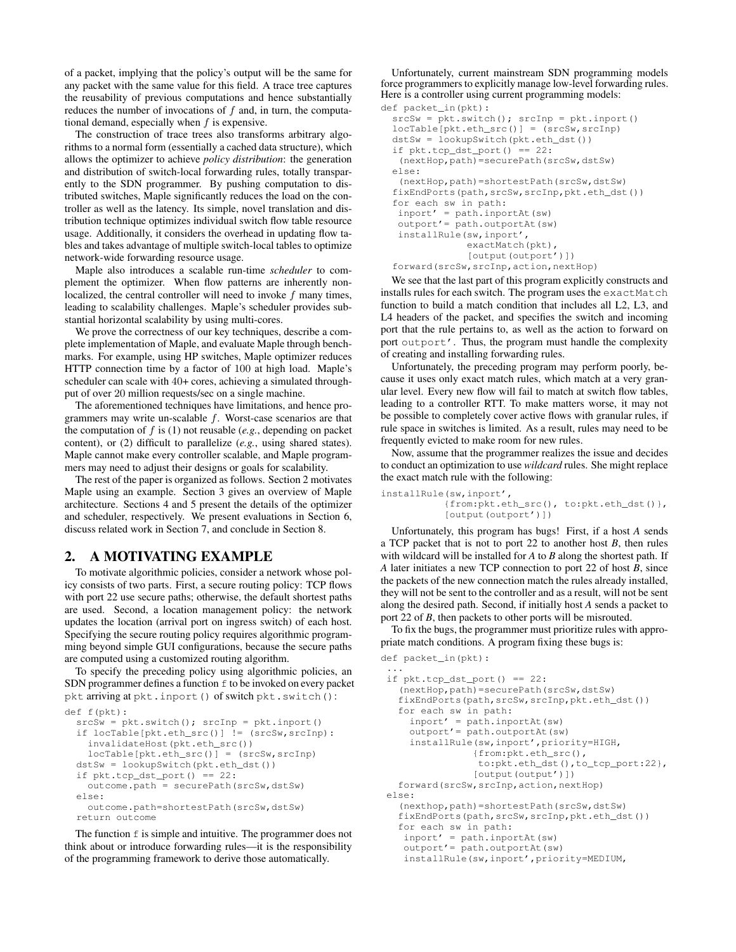of a packet, implying that the policy's output will be the same for any packet with the same value for this field. A trace tree captures the reusability of previous computations and hence substantially reduces the number of invocations of  $f$  and, in turn, the computational demand, especially when  $f$  is expensive.

The construction of trace trees also transforms arbitrary algorithms to a normal form (essentially a cached data structure), which allows the optimizer to achieve *policy distribution*: the generation and distribution of switch-local forwarding rules, totally transparently to the SDN programmer. By pushing computation to distributed switches, Maple significantly reduces the load on the controller as well as the latency. Its simple, novel translation and distribution technique optimizes individual switch flow table resource usage. Additionally, it considers the overhead in updating flow tables and takes advantage of multiple switch-local tables to optimize network-wide forwarding resource usage.

Maple also introduces a scalable run-time *scheduler* to complement the optimizer. When flow patterns are inherently nonlocalized, the central controller will need to invoke f many times, leading to scalability challenges. Maple's scheduler provides substantial horizontal scalability by using multi-cores.

We prove the correctness of our key techniques, describe a complete implementation of Maple, and evaluate Maple through benchmarks. For example, using HP switches, Maple optimizer reduces HTTP connection time by a factor of 100 at high load. Maple's scheduler can scale with 40+ cores, achieving a simulated throughput of over 20 million requests/sec on a single machine.

The aforementioned techniques have limitations, and hence programmers may write un-scalable  $f$ . Worst-case scenarios are that the computation of f is (1) not reusable (*e.g.*, depending on packet content), or (2) difficult to parallelize (*e.g.*, using shared states). Maple cannot make every controller scalable, and Maple programmers may need to adjust their designs or goals for scalability.

The rest of the paper is organized as follows. Section 2 motivates Maple using an example. Section 3 gives an overview of Maple architecture. Sections 4 and 5 present the details of the optimizer and scheduler, respectively. We present evaluations in Section 6, discuss related work in Section 7, and conclude in Section 8.

## 2. A MOTIVATING EXAMPLE

To motivate algorithmic policies, consider a network whose policy consists of two parts. First, a secure routing policy: TCP flows with port 22 use secure paths; otherwise, the default shortest paths are used. Second, a location management policy: the network updates the location (arrival port on ingress switch) of each host. Specifying the secure routing policy requires algorithmic programming beyond simple GUI configurations, because the secure paths are computed using a customized routing algorithm.

To specify the preceding policy using algorithmic policies, an SDN programmer defines a function  $f$  to be invoked on every packet pkt arriving at pkt.inport() of switch pkt.switch():

```
def f(pkt):
  srcSw = plt.sub(t); srcInp = plt.inport()if locTable[pkt.eth_src()] != (srcSw,srcInp):
    invalidateHost(pkt.eth_src())
    locTable[pkt.eth_src()] = (srcSw,srcInp)
  dstSw = lookupSwitch(pkt.eth_dst())
  if plt.tcp\_dst\_port() == 22:
    outcome.path = securePath(srcSw,dstSw)
  else:
    outcome.path=shortestPath(srcSw,dstSw)
  return outcome
```
The function  $f$  is simple and intuitive. The programmer does not think about or introduce forwarding rules—it is the responsibility of the programming framework to derive those automatically.

Unfortunately, current mainstream SDN programming models force programmers to explicitly manage low-level forwarding rules. Here is a controller using current programming models: def packet\_in(pkt):

```
srcSw = pkt.switch(); srcInp = pkt.inport()
locTable[pkt.eth_src()] = (srcSw,srcInp)
dstSw = lookupSwitch(pkt.eth_dst())
if pkt.tcp_dst_port() == 22:
 (nextHop,path)=securePath(srcSw,dstSw)
else:
 (nextHop,path)=shortestPath(srcSw,dstSw)
fixEndPorts(path,srcSw,srcInp,pkt.eth_dst())
for each sw in path:
inport' = path.inportAt(sw)
outport'= path.outportAt(sw)
installRule(sw,inport',
             exactMatch(pkt),
             [output(outport')])
forward(srcSw,srcInp,action,nextHop)
```
We see that the last part of this program explicitly constructs and installs rules for each switch. The program uses the exactMatch function to build a match condition that includes all L2, L3, and L4 headers of the packet, and specifies the switch and incoming port that the rule pertains to, as well as the action to forward on port outport'. Thus, the program must handle the complexity of creating and installing forwarding rules.

Unfortunately, the preceding program may perform poorly, because it uses only exact match rules, which match at a very granular level. Every new flow will fail to match at switch flow tables, leading to a controller RTT. To make matters worse, it may not be possible to completely cover active flows with granular rules, if rule space in switches is limited. As a result, rules may need to be frequently evicted to make room for new rules.

Now, assume that the programmer realizes the issue and decides to conduct an optimization to use *wildcard* rules. She might replace the exact match rule with the following:

```
installRule(sw,inport',
           {from:pkt.eth_src(), to:pkt.eth_dst()},
           [output(outport')])
```
Unfortunately, this program has bugs! First, if a host *A* sends a TCP packet that is not to port 22 to another host *B*, then rules with wildcard will be installed for *A* to *B* along the shortest path. If *A* later initiates a new TCP connection to port 22 of host *B*, since the packets of the new connection match the rules already installed, they will not be sent to the controller and as a result, will not be sent along the desired path. Second, if initially host *A* sends a packet to port 22 of *B*, then packets to other ports will be misrouted.

To fix the bugs, the programmer must prioritize rules with appropriate match conditions. A program fixing these bugs is:

def packet\_in(pkt):

```
...
if plt.tcp\_dst\_port() == 22:
  (nextHop,path)=securePath(srcSw,dstSw)
  fixEndPorts(path,srcSw,srcInp,pkt.eth_dst())
  for each sw in path:
    inport' = path.inportAt(sw)
    outport'= path.outportAt(sw)
    installRule(sw,inport',priority=HIGH,
               {from:pkt.eth_src(),
                to:pkt.eth_dst(),to_tcp_port:22},
               [output(output')])
 forward(srcSw,srcInp,action,nextHop)
else:
  (nexthop,path)=shortestPath(srcSw,dstSw)
  fixEndPorts(path,srcSw,srcInp,pkt.eth_dst())
  for each sw in path:
   inport' = path.inportAt(sw)
   outport'= path.outportAt(sw)
   installRule(sw,inport',priority=MEDIUM,
```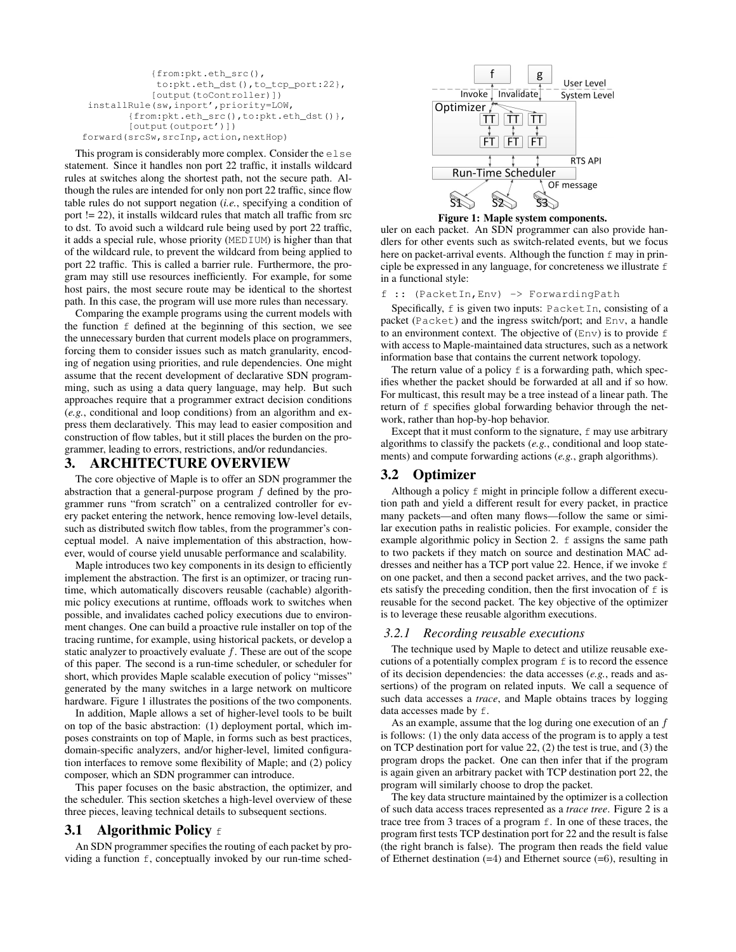```
{from:pkt.eth_src(),
             to:pkt.eth_dst(),to_tcp_port:22},
            [output(toController)])
installRule(sw,inport',priority=LOW,
        {from:pkt.eth_src(),to:pkt.eth_dst()},
        [output(outport')])
forward(srcSw,srcInp,action,nextHop)
```
This program is considerably more complex. Consider the else statement. Since it handles non port 22 traffic, it installs wildcard rules at switches along the shortest path, not the secure path. Although the rules are intended for only non port 22 traffic, since flow table rules do not support negation (*i.e.*, specifying a condition of port != 22), it installs wildcard rules that match all traffic from src to dst. To avoid such a wildcard rule being used by port 22 traffic, it adds a special rule, whose priority (MEDIUM) is higher than that of the wildcard rule, to prevent the wildcard from being applied to port 22 traffic. This is called a barrier rule. Furthermore, the program may still use resources inefficiently. For example, for some host pairs, the most secure route may be identical to the shortest path. In this case, the program will use more rules than necessary.

Comparing the example programs using the current models with the function f defined at the beginning of this section, we see the unnecessary burden that current models place on programmers, forcing them to consider issues such as match granularity, encoding of negation using priorities, and rule dependencies. One might assume that the recent development of declarative SDN programming, such as using a data query language, may help. But such approaches require that a programmer extract decision conditions (*e.g.*, conditional and loop conditions) from an algorithm and express them declaratively. This may lead to easier composition and construction of flow tables, but it still places the burden on the programmer, leading to errors, restrictions, and/or redundancies.

## 3. ARCHITECTURE OVERVIEW

The core objective of Maple is to offer an SDN programmer the abstraction that a general-purpose program f defined by the programmer runs "from scratch" on a centralized controller for every packet entering the network, hence removing low-level details, such as distributed switch flow tables, from the programmer's conceptual model. A naive implementation of this abstraction, however, would of course yield unusable performance and scalability.

Maple introduces two key components in its design to efficiently implement the abstraction. The first is an optimizer, or tracing runtime, which automatically discovers reusable (cachable) algorithmic policy executions at runtime, offloads work to switches when possible, and invalidates cached policy executions due to environment changes. One can build a proactive rule installer on top of the tracing runtime, for example, using historical packets, or develop a static analyzer to proactively evaluate  $f$ . These are out of the scope of this paper. The second is a run-time scheduler, or scheduler for short, which provides Maple scalable execution of policy "misses" generated by the many switches in a large network on multicore hardware. Figure 1 illustrates the positions of the two components.

In addition, Maple allows a set of higher-level tools to be built on top of the basic abstraction: (1) deployment portal, which imposes constraints on top of Maple, in forms such as best practices, domain-specific analyzers, and/or higher-level, limited configuration interfaces to remove some flexibility of Maple; and (2) policy composer, which an SDN programmer can introduce.

This paper focuses on the basic abstraction, the optimizer, and the scheduler. This section sketches a high-level overview of these three pieces, leaving technical details to subsequent sections.

#### 3.1 Algorithmic Policy  $f$

An SDN programmer specifies the routing of each packet by providing a function f, conceptually invoked by our run-time sched-





uler on each packet. An SDN programmer can also provide handlers for other events such as switch-related events, but we focus here on packet-arrival events. Although the function  $f$  may in principle be expressed in any language, for concreteness we illustrate f in a functional style:

f :: (PacketIn,Env) -> ForwardingPath

Specifically, f is given two inputs: PacketIn, consisting of a packet (Packet) and the ingress switch/port; and Env, a handle to an environment context. The objective of  $(Env)$  is to provide f with access to Maple-maintained data structures, such as a network information base that contains the current network topology.

The return value of a policy  $f$  is a forwarding path, which specifies whether the packet should be forwarded at all and if so how. For multicast, this result may be a tree instead of a linear path. The return of  $f$  specifies global forwarding behavior through the network, rather than hop-by-hop behavior.

Except that it must conform to the signature,  $f$  may use arbitrary algorithms to classify the packets (*e.g.*, conditional and loop statements) and compute forwarding actions (*e.g.*, graph algorithms).

#### 3.2 Optimizer

Although a policy f might in principle follow a different execution path and yield a different result for every packet, in practice many packets—and often many flows—follow the same or similar execution paths in realistic policies. For example, consider the example algorithmic policy in Section 2. f assigns the same path to two packets if they match on source and destination MAC addresses and neither has a TCP port value 22. Hence, if we invoke f on one packet, and then a second packet arrives, and the two packets satisfy the preceding condition, then the first invocation of  $f$  is reusable for the second packet. The key objective of the optimizer is to leverage these reusable algorithm executions.

#### *3.2.1 Recording reusable executions*

The technique used by Maple to detect and utilize reusable executions of a potentially complex program  $f$  is to record the essence of its decision dependencies: the data accesses (*e.g.*, reads and assertions) of the program on related inputs. We call a sequence of such data accesses a *trace*, and Maple obtains traces by logging data accesses made by f.

As an example, assume that the log during one execution of an f is follows: (1) the only data access of the program is to apply a test on TCP destination port for value 22, (2) the test is true, and (3) the program drops the packet. One can then infer that if the program is again given an arbitrary packet with TCP destination port 22, the program will similarly choose to drop the packet.

The key data structure maintained by the optimizer is a collection of such data access traces represented as a *trace tree*. Figure 2 is a trace tree from 3 traces of a program f. In one of these traces, the program first tests TCP destination port for 22 and the result is false (the right branch is false). The program then reads the field value of Ethernet destination  $(=4)$  and Ethernet source  $(=6)$ , resulting in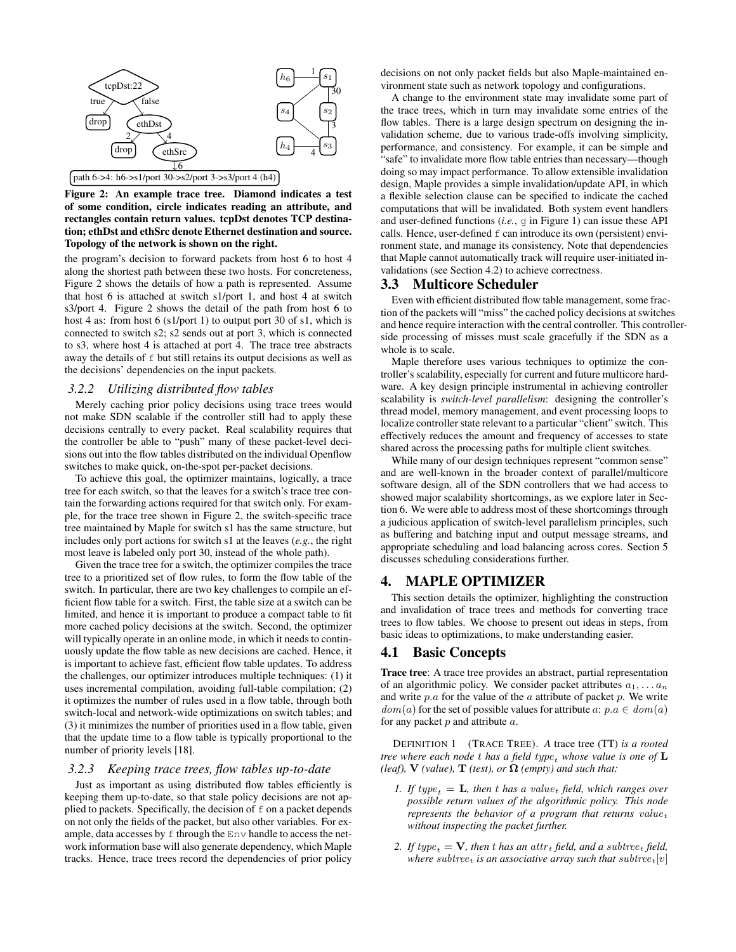

Figure 2: An example trace tree. Diamond indicates a test of some condition, circle indicates reading an attribute, and rectangles contain return values. tcpDst denotes TCP destination; ethDst and ethSrc denote Ethernet destination and source. Topology of the network is shown on the right.

the program's decision to forward packets from host 6 to host 4 along the shortest path between these two hosts. For concreteness, Figure 2 shows the details of how a path is represented. Assume that host 6 is attached at switch s1/port 1, and host 4 at switch s3/port 4. Figure 2 shows the detail of the path from host 6 to host 4 as: from host 6 (s1/port 1) to output port 30 of s1, which is connected to switch s2; s2 sends out at port 3, which is connected to s3, where host 4 is attached at port 4. The trace tree abstracts away the details of f but still retains its output decisions as well as the decisions' dependencies on the input packets.

#### *3.2.2 Utilizing distributed flow tables*

Merely caching prior policy decisions using trace trees would not make SDN scalable if the controller still had to apply these decisions centrally to every packet. Real scalability requires that the controller be able to "push" many of these packet-level decisions out into the flow tables distributed on the individual Openflow switches to make quick, on-the-spot per-packet decisions.

To achieve this goal, the optimizer maintains, logically, a trace tree for each switch, so that the leaves for a switch's trace tree contain the forwarding actions required for that switch only. For example, for the trace tree shown in Figure 2, the switch-specific trace tree maintained by Maple for switch s1 has the same structure, but includes only port actions for switch s1 at the leaves (*e.g.*, the right most leave is labeled only port 30, instead of the whole path).

Given the trace tree for a switch, the optimizer compiles the trace tree to a prioritized set of flow rules, to form the flow table of the switch. In particular, there are two key challenges to compile an efficient flow table for a switch. First, the table size at a switch can be limited, and hence it is important to produce a compact table to fit more cached policy decisions at the switch. Second, the optimizer will typically operate in an online mode, in which it needs to continuously update the flow table as new decisions are cached. Hence, it is important to achieve fast, efficient flow table updates. To address the challenges, our optimizer introduces multiple techniques: (1) it uses incremental compilation, avoiding full-table compilation; (2) it optimizes the number of rules used in a flow table, through both switch-local and network-wide optimizations on switch tables; and (3) it minimizes the number of priorities used in a flow table, given that the update time to a flow table is typically proportional to the number of priority levels [18].

#### *3.2.3 Keeping trace trees, flow tables up-to-date*

Just as important as using distributed flow tables efficiently is keeping them up-to-date, so that stale policy decisions are not applied to packets. Specifically, the decision of  $f$  on a packet depends on not only the fields of the packet, but also other variables. For example, data accesses by  $f$  through the  $Env$  handle to access the network information base will also generate dependency, which Maple tracks. Hence, trace trees record the dependencies of prior policy

decisions on not only packet fields but also Maple-maintained environment state such as network topology and configurations.

A change to the environment state may invalidate some part of the trace trees, which in turn may invalidate some entries of the flow tables. There is a large design spectrum on designing the invalidation scheme, due to various trade-offs involving simplicity, performance, and consistency. For example, it can be simple and "safe" to invalidate more flow table entries than necessary—though doing so may impact performance. To allow extensible invalidation design, Maple provides a simple invalidation/update API, in which a flexible selection clause can be specified to indicate the cached computations that will be invalidated. Both system event handlers and user-defined functions (*i.e.*, g in Figure 1) can issue these API calls. Hence, user-defined  $f$  can introduce its own (persistent) environment state, and manage its consistency. Note that dependencies that Maple cannot automatically track will require user-initiated invalidations (see Section 4.2) to achieve correctness.

## 3.3 Multicore Scheduler

Even with efficient distributed flow table management, some fraction of the packets will "miss" the cached policy decisions at switches and hence require interaction with the central controller. This controllerside processing of misses must scale gracefully if the SDN as a whole is to scale.

Maple therefore uses various techniques to optimize the controller's scalability, especially for current and future multicore hardware. A key design principle instrumental in achieving controller scalability is *switch-level parallelism*: designing the controller's thread model, memory management, and event processing loops to localize controller state relevant to a particular "client" switch. This effectively reduces the amount and frequency of accesses to state shared across the processing paths for multiple client switches.

While many of our design techniques represent "common sense" and are well-known in the broader context of parallel/multicore software design, all of the SDN controllers that we had access to showed major scalability shortcomings, as we explore later in Section 6. We were able to address most of these shortcomings through a judicious application of switch-level parallelism principles, such as buffering and batching input and output message streams, and appropriate scheduling and load balancing across cores. Section 5 discusses scheduling considerations further.

## 4. MAPLE OPTIMIZER

This section details the optimizer, highlighting the construction and invalidation of trace trees and methods for converting trace trees to flow tables. We choose to present out ideas in steps, from basic ideas to optimizations, to make understanding easier.

#### 4.1 Basic Concepts

Trace tree: A trace tree provides an abstract, partial representation of an algorithmic policy. We consider packet attributes  $a_1, \ldots, a_n$ and write  $p.a$  for the value of the  $a$  attribute of packet  $p.$  We write  $dom(a)$  for the set of possible values for attribute  $a: p.a \in dom(a)$ for any packet  $p$  and attribute  $a$ .

DEFINITION 1 (TRACE TREE). *A* trace tree (TT) *is a rooted tree where each node t has a field type<sub>t</sub> whose value is one of*  $L$ *(leaf),*  $V$  *(value),*  $T$  *(test), or*  $\Omega$  *(empty)* and such that:

- *1. If type<sub>t</sub>* = **L**, then *t* has a value<sub>t</sub> field, which ranges over *possible return values of the algorithmic policy. This node represents the behavior of a program that returns valuet without inspecting the packet further.*
- 2. If  $type_t = V$ , then t has an attr<sub>t</sub> field, and a subtree<sub>t</sub> field, *where* subtree<sub>t</sub> is an associative array such that subtree<sub>t</sub>[v]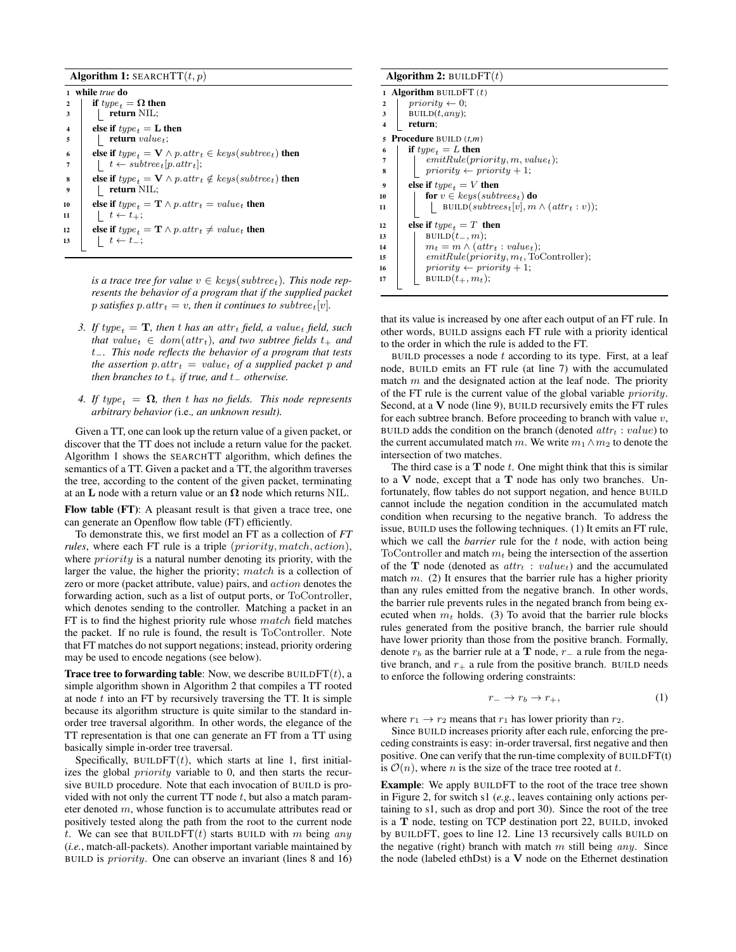#### Algorithm 1:  $SEARCHTT(t, p)$

<sup>1</sup> while *true* do 2 if  $type_t = \Omega$  then<br>3 ceturn NIL;  $\lfloor$  return NIL; 4 else if  $type_t = L$  then<br>5 eturn valuet;  $\begin{array}{c} \begin{array}{c} \end{array} \end{array} \begin{array}{c} \textbf{return } value_t; \end{array}$ 6 else if  $type_t = \mathbf{V} \wedge p.attr_t \in keys(subtree_t)$  then<br>
7  $t \leftarrow subtree_t[p.attr_t];$  $\begin{array}{ll} \rule{2mm}{2mm} \rule{2mm}{2mm} t \leftarrow subtree_t[p.attr_t]; \end{array}$ 8 else if  $type_t = \mathbf{V} \wedge p.attr_t \notin keys(subtree_t)$  then<br>9 else if  $true$  in NIL: | return NIL; 10 **else if**  $type_t = \mathbf{T} \wedge p. \text{attr}_t = value_t$  then  $\lfloor t \leftarrow t_+;$ 12 **else if**  $type_t = \mathbf{T} \wedge p. \text{attr}_t \neq value_t$  then  $\vert t \leftarrow t_{-};$ 

> *is a trace tree for value*  $v \in keys(subtree_t)$ *. This node represents the behavior of a program that if the supplied packet p* satisfies p. att $r_t = v$ , then it continues to subtree<sub>t</sub>[v].

- *3.* If type<sub>t</sub> = **T**, then t has an attr<sub>t</sub> field, a value<sub>t</sub> field, such *that* value<sub>t</sub>  $\in dom(a t t r_t)$ *, and two subtree fields*  $t_+$  *and* t−*. This node reflects the behavior of a program that tests the assertion*  $p. \text{attr}_t = value_t$  *of a supplied packet* p *and then branches to*  $t_+$  *if true, and*  $t_-$  *otherwise.*
- *4.* If type<sub>t</sub>  $= \Omega$ , then t has no fields. This node represents *arbitrary behavior (*i.e.*, an unknown result).*

Given a TT, one can look up the return value of a given packet, or discover that the TT does not include a return value for the packet. Algorithm 1 shows the SEARCHTT algorithm, which defines the semantics of a TT. Given a packet and a TT, the algorithm traverses the tree, according to the content of the given packet, terminating at an L node with a return value or an  $\Omega$  node which returns NIL.

Flow table (FT): A pleasant result is that given a trace tree, one can generate an Openflow flow table (FT) efficiently.

To demonstrate this, we first model an FT as a collection of *FT rules*, where each FT rule is a triple (priority, match, action), where *priority* is a natural number denoting its priority, with the larger the value, the higher the priority; match is a collection of zero or more (packet attribute, value) pairs, and action denotes the forwarding action, such as a list of output ports, or ToController, which denotes sending to the controller. Matching a packet in an FT is to find the highest priority rule whose  $match$  field matches the packet. If no rule is found, the result is ToController. Note that FT matches do not support negations; instead, priority ordering may be used to encode negations (see below).

**Trace tree to forwarding table:** Now, we describe BUILDFT $(t)$ , a simple algorithm shown in Algorithm 2 that compiles a TT rooted at node  $t$  into an FT by recursively traversing the TT. It is simple because its algorithm structure is quite similar to the standard inorder tree traversal algorithm. In other words, the elegance of the TT representation is that one can generate an FT from a TT using basically simple in-order tree traversal.

Specifically, BUILDFT $(t)$ , which starts at line 1, first initializes the global priority variable to 0, and then starts the recursive BUILD procedure. Note that each invocation of BUILD is provided with not only the current  $TT$  node  $t$ , but also a match parameter denoted m, whose function is to accumulate attributes read or positively tested along the path from the root to the current node t. We can see that BUILDFT(t) starts BUILD with m being any (*i.e.*, match-all-packets). Another important variable maintained by BUILD is priority. One can observe an invariant (lines 8 and 16)

#### Algorithm 2: BUILDFT $(t)$ 1 Algorithm BUILDFT $(t)$ 2 priority  $\leftarrow 0$ ;  $\overline{\textbf{3}}$  BUILD $(t, any)$ ; <sup>4</sup> return; <sup>5</sup> Procedure BUILD(*t,m*) 6 if  $type_t = L$  then<br>7 emitRule(pri  $emitRule(priority, m, value_t);$ 8 | priority  $\leftarrow$  priority + 1; 9 else if  $type_t = V$  then<br>10  $|$  for  $v \in keys(subt)$ for  $v \in keys(subtrees_t)$  do 11 | BUILD(subtrees<sub>t</sub>[v],  $m \wedge (attr_t : v)$ ); 12 else if  $type_t = T$  then<br>13 else if  $type_t = T$  then  $\texttt{BULD}(t_-, m);$ 14  $m_t = m \wedge (attr_t : value_t);$ 15 emitRule(priority,  $m_t$ , ToController); 16 priority  $\leftarrow$  priority + 1; 17 BUILD $(t_+, m_t);$

that its value is increased by one after each output of an FT rule. In other words, BUILD assigns each FT rule with a priority identical to the order in which the rule is added to the FT.

BUILD processes a node  $t$  according to its type. First, at a leaf node, BUILD emits an FT rule (at line 7) with the accumulated match  $m$  and the designated action at the leaf node. The priority of the FT rule is the current value of the global variable priority. Second, at a V node (line 9), BUILD recursively emits the FT rules for each subtree branch. Before proceeding to branch with value  $v$ , BUILD adds the condition on the branch (denoted  $attr_t : value$ ) to the current accumulated match m. We write  $m_1 \wedge m_2$  to denote the intersection of two matches.

The third case is a  $T$  node  $t$ . One might think that this is similar to a V node, except that a T node has only two branches. Unfortunately, flow tables do not support negation, and hence BUILD cannot include the negation condition in the accumulated match condition when recursing to the negative branch. To address the issue, BUILD uses the following techniques. (1) It emits an FT rule, which we call the *barrier* rule for the t node, with action being ToController and match  $m_t$  being the intersection of the assertion of the **T** node (denoted as  $attr_t : value_t$ ) and the accumulated match  $m$ . (2) It ensures that the barrier rule has a higher priority than any rules emitted from the negative branch. In other words, the barrier rule prevents rules in the negated branch from being executed when  $m_t$  holds. (3) To avoid that the barrier rule blocks rules generated from the positive branch, the barrier rule should have lower priority than those from the positive branch. Formally, denote  $r_b$  as the barrier rule at a T node,  $r_$  a rule from the negative branch, and  $r_{+}$  a rule from the positive branch. BUILD needs to enforce the following ordering constraints:

$$
r_- \to r_b \to r_+, \tag{1}
$$

where  $r_1 \rightarrow r_2$  means that  $r_1$  has lower priority than  $r_2$ .

Since BUILD increases priority after each rule, enforcing the preceding constraints is easy: in-order traversal, first negative and then positive. One can verify that the run-time complexity of BUILDFT $(t)$ is  $\mathcal{O}(n)$ , where *n* is the size of the trace tree rooted at *t*.

Example: We apply BUILDFT to the root of the trace tree shown in Figure 2, for switch s1 (*e.g.*, leaves containing only actions pertaining to s1, such as drop and port 30). Since the root of the tree is a T node, testing on TCP destination port 22, BUILD, invoked by BUILDFT, goes to line 12. Line 13 recursively calls BUILD on the negative (right) branch with match  $m$  still being any. Since the node (labeled ethDst) is a  $V$  node on the Ethernet destination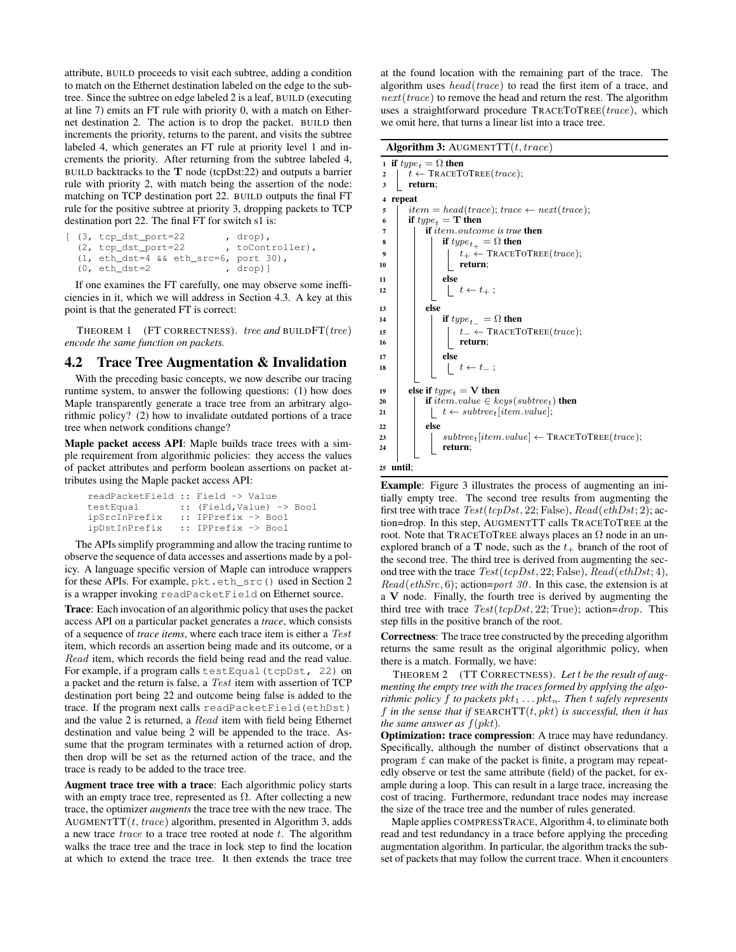attribute, BUILD proceeds to visit each subtree, adding a condition to match on the Ethernet destination labeled on the edge to the subtree. Since the subtree on edge labeled 2 is a leaf, BUILD (executing at line 7) emits an FT rule with priority 0, with a match on Ethernet destination 2. The action is to drop the packet. BUILD then increments the priority, returns to the parent, and visits the subtree labeled 4, which generates an FT rule at priority level 1 and increments the priority. After returning from the subtree labeled 4, BUILD backtracks to the  $T$  node (tcpDst:22) and outputs a barrier rule with priority 2, with match being the assertion of the node: matching on TCP destination port 22. BUILD outputs the final FT rule for the positive subtree at priority 3, dropping packets to TCP destination port 22. The final FT for switch s1 is:

```
[ (3, tcp_dst_port=22 , drop),
  (2, tcp_dst_port=22 , toController),
 (1, \text{ eth\_dst=4 } \& \text{eth\_src=6}, \text{ port } 30),
 (0, eth_dst=2 , drop)]
```
If one examines the FT carefully, one may observe some inefficiencies in it, which we will address in Section 4.3. A key at this point is that the generated FT is correct:

THEOREM 1 (FT CORRECTNESS). tree *and* BUILDFT(tree) *encode the same function on packets.*

## 4.2 Trace Tree Augmentation & Invalidation

With the preceding basic concepts, we now describe our tracing runtime system, to answer the following questions: (1) how does Maple transparently generate a trace tree from an arbitrary algorithmic policy? (2) how to invalidate outdated portions of a trace tree when network conditions change?

Maple packet access API: Maple builds trace trees with a simple requirement from algorithmic policies: they access the values of packet attributes and perform boolean assertions on packet attributes using the Maple packet access API:

| readPacketField :: Field -> Value |                                 |
|-----------------------------------|---------------------------------|
| testEqual                         | :: (Field, Value) -> Bool       |
| ipSrcInPrefix                     | :: IPPrefix -> Bool             |
| ipDstInPrefix                     | $:$ IPPrefix $\rightarrow$ Bool |

The APIs simplify programming and allow the tracing runtime to observe the sequence of data accesses and assertions made by a policy. A language specific version of Maple can introduce wrappers for these APIs. For example,  $$ is a wrapper invoking readPacketField on Ethernet source.

Trace: Each invocation of an algorithmic policy that uses the packet access API on a particular packet generates a *trace*, which consists of a sequence of *trace items*, where each trace item is either a Test item, which records an assertion being made and its outcome, or a Read item, which records the field being read and the read value. For example, if a program calls testEqual (tcpDst, 22) on a packet and the return is false, a Test item with assertion of TCP destination port being 22 and outcome being false is added to the trace. If the program next calls readPacketField(ethDst) and the value 2 is returned, a Read item with field being Ethernet destination and value being 2 will be appended to the trace. Assume that the program terminates with a returned action of drop, then drop will be set as the returned action of the trace, and the trace is ready to be added to the trace tree.

Augment trace tree with a trace: Each algorithmic policy starts with an empty trace tree, represented as  $\Omega$ . After collecting a new trace, the optimizer *augments* the trace tree with the new trace. The AUGMENTT $T(t, trace)$  algorithm, presented in Algorithm 3, adds a new trace  $trace$  to a trace tree rooted at node  $t$ . The algorithm walks the trace tree and the trace in lock step to find the location at which to extend the trace tree. It then extends the trace tree at the found location with the remaining part of the trace. The algorithm uses head(trace) to read the first item of a trace, and  $next(true)$  to remove the head and return the rest. The algorithm uses a straightforward procedure TRACETOTREE(trace), which we omit here, that turns a linear list into a trace tree.

Algorithm 3: AUGMENTTT $(t, trace)$ 

|                | 1 if $type_t = \Omega$ then                                        |
|----------------|--------------------------------------------------------------------|
| $\overline{2}$ | $t \leftarrow \text{TRACETOTREE}(trace);$                          |
| 3              | return;                                                            |
|                | 4 repeat                                                           |
| 5              | $item = head(true); trace \leftarrow next(true);$                  |
| 6              | if $type_t = T$ then                                               |
| 7              | <b>if</b> item.outcome is true <b>then</b>                         |
| 8              | if $type_{t_+} = \Omega$ then                                      |
| 9              | $t_+ \leftarrow \text{TRACETOTREE}(trace);$                        |
| 10             | return;                                                            |
| 11             | else                                                               |
| 12             | $\lfloor t \leftarrow t_+;$                                        |
|                |                                                                    |
| 13             | else                                                               |
| 14             | if $type_t = \Omega$ then                                          |
| 15             | $t_{-} \leftarrow \text{TRACETOTREE}(trace);$                      |
| 16             | return:                                                            |
| 17             | else                                                               |
| 18             | $\vert t \leftarrow t_{-}$ ;                                       |
|                |                                                                    |
| 19             | else if $type_t = V$ then                                          |
| 20             | <b>if</b> item.value $\in$ keys(subtree <sub>t</sub> ) <b>then</b> |
| 21             | $t \leftarrow subtree_t[item.value];$                              |
|                |                                                                    |
| 22             | else                                                               |
| 23             | $subtree_t[item.value] \leftarrow \text{RACETOTREE}(trace);$       |
| 24             | return;                                                            |
|                |                                                                    |

<sup>25</sup> until;

Example: Figure 3 illustrates the process of augmenting an initially empty tree. The second tree results from augmenting the first tree with trace  $Test(tcpDst, 22; False)$ ,  $Read(ethDst; 2);$  action=drop. In this step, AUGMENTTT calls TRACETOTREE at the root. Note that TRACETOTREE always places an  $\Omega$  node in an unexplored branch of a T node, such as the  $t_{+}$  branch of the root of the second tree. The third tree is derived from augmenting the second tree with the trace  $Test(tcpDst, 22; False)$ ,  $Read(ethDst; 4)$ ,  $Read(ethSrc, 6)$ ; action=port 30. In this case, the extension is at a  $V$  node. Finally, the fourth tree is derived by augmenting the third tree with trace  $Test(tcpDst, 22; True)$ ; action=drop. This step fills in the positive branch of the root.

Correctness: The trace tree constructed by the preceding algorithm returns the same result as the original algorithmic policy, when there is a match. Formally, we have:

THEOREM 2 (TT CORRECTNESS). *Let* t *be the result of augmenting the empty tree with the traces formed by applying the algorithmic policy*  $f$  *to packets*  $pkt_1 \ldots pkt_n$ *. Then t safely represents* f *in the sense that if*  $SEARCHTT(t, pkt)$  *is successful, then it has the same answer as* f(pkt)*.*

Optimization: trace compression: A trace may have redundancy. Specifically, although the number of distinct observations that a program f can make of the packet is finite, a program may repeatedly observe or test the same attribute (field) of the packet, for example during a loop. This can result in a large trace, increasing the cost of tracing. Furthermore, redundant trace nodes may increase the size of the trace tree and the number of rules generated.

Maple applies COMPRESSTRACE, Algorithm 4, to eliminate both read and test redundancy in a trace before applying the preceding augmentation algorithm. In particular, the algorithm tracks the subset of packets that may follow the current trace. When it encounters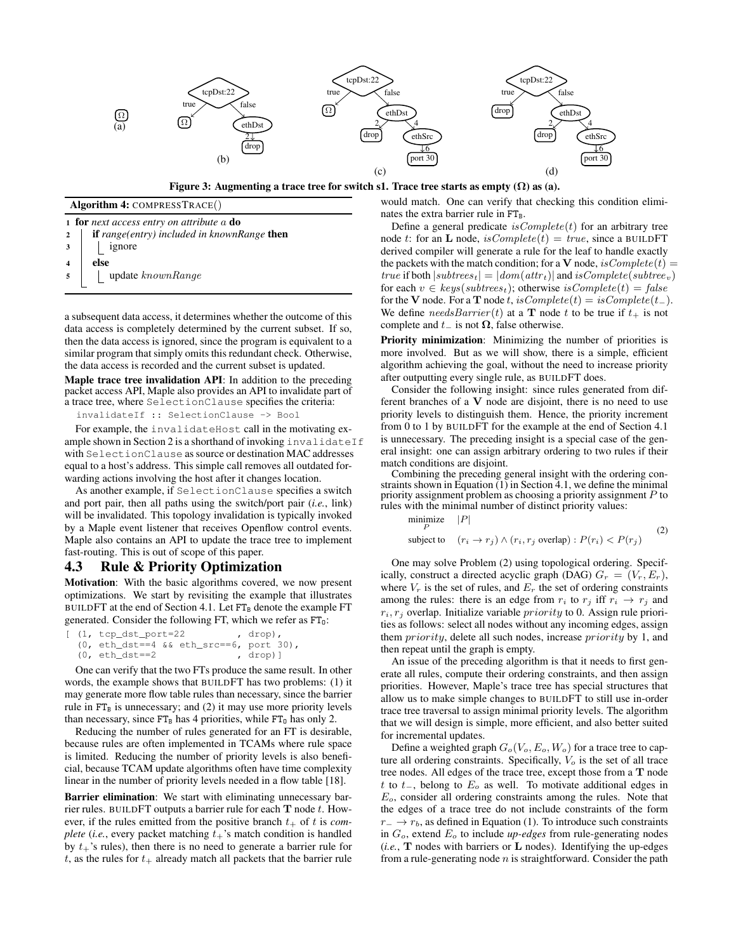

Figure 3: Augmenting a trace tree for switch s1. Trace tree starts as empty  $(\Omega)$  as (a).

|  | <b>Algorithm 4: COMPRESSTRACE()</b> |
|--|-------------------------------------|
|--|-------------------------------------|

<sup>1</sup> for *next access entry on attribute* a do

- <sup>2</sup> if *range(entry) included in knownRange* then
- $3 \mid$  ignore
- <sup>4</sup> else

5 | update knownRange

a subsequent data access, it determines whether the outcome of this data access is completely determined by the current subset. If so, then the data access is ignored, since the program is equivalent to a similar program that simply omits this redundant check. Otherwise, the data access is recorded and the current subset is updated.

Maple trace tree invalidation API: In addition to the preceding packet access API, Maple also provides an API to invalidate part of a trace tree, where SelectionClause specifies the criteria:

invalidateIf :: SelectionClause -> Bool

For example, the invalidateHost call in the motivating example shown in Section 2 is a shorthand of invoking invalidateIf with SelectionClause as source or destination MAC addresses equal to a host's address. This simple call removes all outdated forwarding actions involving the host after it changes location.

As another example, if SelectionClause specifies a switch and port pair, then all paths using the switch/port pair (*i.e.*, link) will be invalidated. This topology invalidation is typically invoked by a Maple event listener that receives Openflow control events. Maple also contains an API to update the trace tree to implement fast-routing. This is out of scope of this paper.

#### 4.3 Rule & Priority Optimization

Motivation: With the basic algorithms covered, we now present optimizations. We start by revisiting the example that illustrates BUILDFT at the end of Section 4.1. Let FT<sub>B</sub> denote the example FT generated. Consider the following FT, which we refer as  $FT_0$ :

```
(1, tcp_dst_port=22 , drop),
(0, eth_dst==4 && eth_src==6, port 30),
(0, eth_dst==2 , drop)]
```
One can verify that the two FTs produce the same result. In other words, the example shows that BUILDFT has two problems: (1) it may generate more flow table rules than necessary, since the barrier rule in  $FT_B$  is unnecessary; and (2) it may use more priority levels than necessary, since  $FT_B$  has 4 priorities, while  $FT_0$  has only 2.

Reducing the number of rules generated for an FT is desirable, because rules are often implemented in TCAMs where rule space is limited. Reducing the number of priority levels is also beneficial, because TCAM update algorithms often have time complexity linear in the number of priority levels needed in a flow table [18].

Barrier elimination: We start with eliminating unnecessary barrier rules. BUILDFT outputs a barrier rule for each  $T$  node  $t$ . However, if the rules emitted from the positive branch  $t_{+}$  of t is *complete* (*i.e.*, every packet matching  $t_{+}$ 's match condition is handled by  $t_{+}$ 's rules), then there is no need to generate a barrier rule for  $t$ , as the rules for  $t_+$  already match all packets that the barrier rule

would match. One can verify that checking this condition eliminates the extra barrier rule in FT<sub>B</sub>.

Define a general predicate  $isComplete(t)$  for an arbitrary tree node t: for an **L** node,  $isComplete(t) = true$ , since a BUILDFT derived compiler will generate a rule for the leaf to handle exactly the packets with the match condition; for a V node,  $isComplete(t)$  = true if both  $|subtrees_t| = |dom(attr_t)|$  and  $isComplete(subtree_v)$ for each  $v \in keys(subtrees_t)$ ; otherwise  $isComplete(t) = false$ for the V node. For a T node t, isComplete(t) = isComplete(t\_). We define  $needsBarrier(t)$  at a **T** node t to be true if  $t_{+}$  is not complete and  $t_$  is not  $\Omega$ , false otherwise.

Priority minimization: Minimizing the number of priorities is more involved. But as we will show, there is a simple, efficient algorithm achieving the goal, without the need to increase priority after outputting every single rule, as BUILDFT does.

Consider the following insight: since rules generated from different branches of a V node are disjoint, there is no need to use priority levels to distinguish them. Hence, the priority increment from 0 to 1 by BUILDFT for the example at the end of Section 4.1 is unnecessary. The preceding insight is a special case of the general insight: one can assign arbitrary ordering to two rules if their match conditions are disjoint.

Combining the preceding general insight with the ordering constraints shown in Equation  $\overline{(1)}$  in Section 4.1, we define the minimal priority assignment problem as choosing a priority assignment P to rules with the minimal number of distinct priority values:

> minimize P  $|P|$

subject to 
$$
(r_i \to r_j) \land (r_i, r_j \text{ overlap}) : P(r_i) < P(r_j)
$$

 $(2)$ 

One may solve Problem (2) using topological ordering. Specifically, construct a directed acyclic graph (DAG)  $G_r = (V_r, E_r)$ , where  $V_r$  is the set of rules, and  $E_r$  the set of ordering constraints among the rules: there is an edge from  $r_i$  to  $r_j$  iff  $r_i \rightarrow r_j$  and  $r_i, r_j$  overlap. Initialize variable *priority* to 0. Assign rule priorities as follows: select all nodes without any incoming edges, assign them priority, delete all such nodes, increase priority by 1, and then repeat until the graph is empty.

An issue of the preceding algorithm is that it needs to first generate all rules, compute their ordering constraints, and then assign priorities. However, Maple's trace tree has special structures that allow us to make simple changes to BUILDFT to still use in-order trace tree traversal to assign minimal priority levels. The algorithm that we will design is simple, more efficient, and also better suited for incremental updates.

Define a weighted graph  $G_o(V_o, E_o, W_o)$  for a trace tree to capture all ordering constraints. Specifically,  $V<sub>o</sub>$  is the set of all trace tree nodes. All edges of the trace tree, except those from a T node t to  $t_$ , belong to  $E_0$  as well. To motivate additional edges in  $E<sub>o</sub>$ , consider all ordering constraints among the rules. Note that the edges of a trace tree do not include constraints of the form  $r_-\rightarrow r_b$ , as defined in Equation (1). To introduce such constraints in Go, extend E<sup>o</sup> to include *up-edges* from rule-generating nodes  $(i.e.,$  T nodes with barriers or **L** nodes). Identifying the up-edges from a rule-generating node  $n$  is straightforward. Consider the path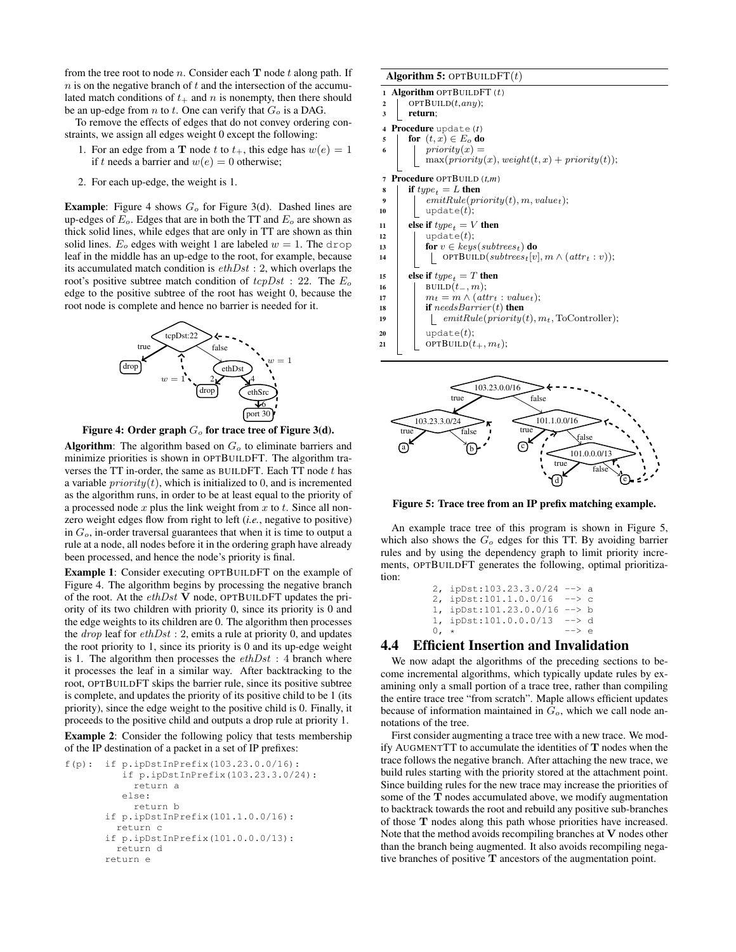from the tree root to node *n*. Consider each  $T$  node  $t$  along path. If  $n$  is on the negative branch of  $t$  and the intersection of the accumulated match conditions of  $t_+$  and n is nonempty, then there should be an up-edge from *n* to *t*. One can verify that  $G<sub>o</sub>$  is a DAG.

To remove the effects of edges that do not convey ordering constraints, we assign all edges weight 0 except the following:

- 1. For an edge from a **T** node t to  $t_{+}$ , this edge has  $w(e) = 1$ if t needs a barrier and  $w(e) = 0$  otherwise;
- 2. For each up-edge, the weight is 1.

**Example:** Figure 4 shows  $G<sub>o</sub>$  for Figure 3(d). Dashed lines are up-edges of  $E<sub>o</sub>$ . Edges that are in both the TT and  $E<sub>o</sub>$  are shown as thick solid lines, while edges that are only in TT are shown as thin solid lines.  $E_0$  edges with weight 1 are labeled  $w = 1$ . The drop leaf in the middle has an up-edge to the root, for example, because its accumulated match condition is  $ethDst : 2$ , which overlaps the root's positive subtree match condition of  $tcpDst$  : 22. The  $E<sub>o</sub>$ edge to the positive subtree of the root has weight 0, because the root node is complete and hence no barrier is needed for it.



Figure 4: Order graph  $G<sub>o</sub>$  for trace tree of Figure 3(d).

**Algorithm:** The algorithm based on  $G<sub>o</sub>$  to eliminate barriers and minimize priorities is shown in OPTBUILDFT. The algorithm traverses the TT in-order, the same as BUILDFT. Each TT node  $t$  has a variable  $priority(t)$ , which is initialized to 0, and is incremented as the algorithm runs, in order to be at least equal to the priority of a processed node  $x$  plus the link weight from  $x$  to  $t$ . Since all nonzero weight edges flow from right to left (*i.e.*, negative to positive) in  $G<sub>o</sub>$ , in-order traversal guarantees that when it is time to output a rule at a node, all nodes before it in the ordering graph have already been processed, and hence the node's priority is final.

Example 1: Consider executing OPTBUILDFT on the example of Figure 4. The algorithm begins by processing the negative branch of the root. At the  $ethDst$  V node, OPTBUILDFT updates the priority of its two children with priority 0, since its priority is 0 and the edge weights to its children are 0. The algorithm then processes the *drop* leaf for  $ethDst : 2$ , emits a rule at priority 0, and updates the root priority to 1, since its priority is 0 and its up-edge weight is 1. The algorithm then processes the  $ethDst$ : 4 branch where it processes the leaf in a similar way. After backtracking to the root, OPTBUILDFT skips the barrier rule, since its positive subtree is complete, and updates the priority of its positive child to be 1 (its priority), since the edge weight to the positive child is 0. Finally, it proceeds to the positive child and outputs a drop rule at priority 1.

Example 2: Consider the following policy that tests membership of the IP destination of a packet in a set of IP prefixes:

```
f(p): if p.ipDstInPrefix(103.23.0.0/16):
          if p.ipDstInPrefix(103.23.3.0/24):
            return a
          else:
            return b
       if p.ipDstInPrefix(101.1.0.0/16):
         return c
       if p.ipDstInPrefix(101.0.0.0/13):
         return d
       return e
```
#### Algorithm 5: OPTBUILD $FT(t)$

| 1                       | <b>Algorithm</b> OPTBUILDFT $(t)$                                                                                                                                         |
|-------------------------|---------------------------------------------------------------------------------------------------------------------------------------------------------------------------|
| $\boldsymbol{2}$        | OPTBUILD $(t, any)$ ;                                                                                                                                                     |
| 3                       | return;                                                                                                                                                                   |
| $\overline{\mathbf{4}}$ | <b>Procedure</b> update $(t)$                                                                                                                                             |
| 5                       | for $(t, x) \in E_0$ do                                                                                                                                                   |
|                         |                                                                                                                                                                           |
| 6                       |                                                                                                                                                                           |
|                         | $\begin{array}{ l} \hline \operatorname{priority}(x) = \\ \max(\operatorname{priority}(x), \operatorname{weight}(t, x) + \operatorname{priority}(t)); \hline \end{array}$ |
| 7                       | <b>Procedure</b> OPTBUILD $(t,m)$                                                                                                                                         |
| 8                       | if $type_t = L$ then                                                                                                                                                      |
|                         |                                                                                                                                                                           |
| 9                       | $emitRule(priority(t), m, value_t);$<br>update $(t)$ ;                                                                                                                    |
| 10                      |                                                                                                                                                                           |
| 11                      | else if $type_t = V$ then                                                                                                                                                 |
| 12                      | update $(t)$ ;                                                                                                                                                            |
| 13                      | for $v \in keys(subtrees_t)$ do                                                                                                                                           |
| 14                      | OPTBUILD(subtrees <sub>t</sub> [v], $m \wedge (attr_t : v)$ );                                                                                                            |
|                         |                                                                                                                                                                           |
| 15                      | else if $type_{t} = T$ then                                                                                                                                               |
| 16                      | BUILD $(t_-, m)$ ;                                                                                                                                                        |
| 17                      | $m_t = m \wedge (attr_t : value_t);$                                                                                                                                      |
| 18                      | <b>if</b> needs Barrier(t) <b>then</b>                                                                                                                                    |
| 19                      | $emitRule(priority(t), m_t, ToController);$                                                                                                                               |
|                         |                                                                                                                                                                           |
| 20                      | update $(t)$ ;                                                                                                                                                            |
| 21                      | OPTBUILD $(t_+, m_t)$ ;                                                                                                                                                   |
|                         |                                                                                                                                                                           |



Figure 5: Trace tree from an IP prefix matching example.

An example trace tree of this program is shown in Figure 5, which also shows the  $G<sub>o</sub>$  edges for this TT. By avoiding barrier rules and by using the dependency graph to limit priority increments, OPTBUILDFT generates the following, optimal prioritization:

|                      | 2. ipDst:103.23.3.0/24 --> a |                                 |  |
|----------------------|------------------------------|---------------------------------|--|
|                      | 2. ipDst:101.1.0.0/16 --> c  |                                 |  |
|                      | 1, ipDst:101.23.0.0/16       | $\leftarrow$ -> b               |  |
|                      | 1, ipDst:101.0.0.0/13        | $\rightarrow$ - $\rightarrow$ d |  |
| $0 \rightarrow \ast$ |                              | $\rightarrow$ e                 |  |

## 4.4 Efficient Insertion and Invalidation

We now adapt the algorithms of the preceding sections to become incremental algorithms, which typically update rules by examining only a small portion of a trace tree, rather than compiling the entire trace tree "from scratch". Maple allows efficient updates because of information maintained in  $G<sub>o</sub>$ , which we call node annotations of the tree.

First consider augmenting a trace tree with a new trace. We modify AUGMENTTT to accumulate the identities of  $T$  nodes when the trace follows the negative branch. After attaching the new trace, we build rules starting with the priority stored at the attachment point. Since building rules for the new trace may increase the priorities of some of the T nodes accumulated above, we modify augmentation to backtrack towards the root and rebuild any positive sub-branches of those T nodes along this path whose priorities have increased. Note that the method avoids recompiling branches at V nodes other than the branch being augmented. It also avoids recompiling negative branches of positive T ancestors of the augmentation point.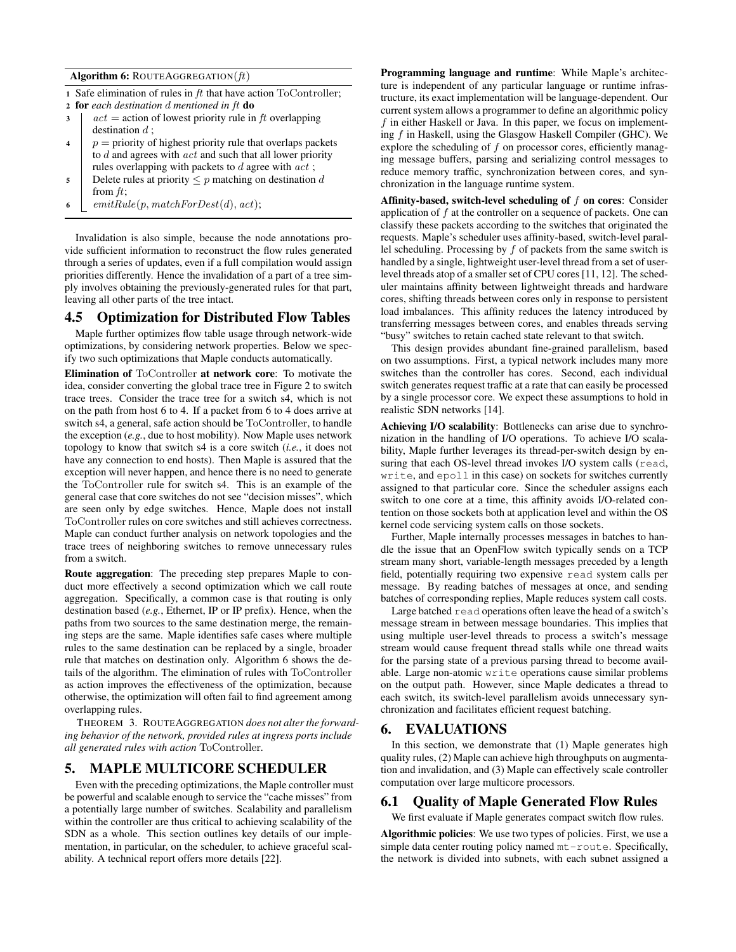#### Algorithm 6: ROUTEAGGREGATION $(h)$

1 Safe elimination of rules in  $ft$  that have action ToController;

- <sup>2</sup> for *each destination* d *mentioned in* ft do
- $3 \mid act = action of lowest priority rule in ft overlapping$ destination  $d$  ;
- $\begin{array}{c|c} 4 & p = \text{priority of highest priority rule that overlaps packets} \end{array}$ to  $d$  and agrees with  $act$  and such that all lower priority rules overlapping with packets to  $d$  agree with  $act$ ;
- 5 Delete rules at priority  $\leq p$  matching on destination d from  $ft$ ;
- 6  $\cdot$  emitRule(p, matchForDest(d), act);

Invalidation is also simple, because the node annotations provide sufficient information to reconstruct the flow rules generated through a series of updates, even if a full compilation would assign priorities differently. Hence the invalidation of a part of a tree simply involves obtaining the previously-generated rules for that part, leaving all other parts of the tree intact.

## 4.5 Optimization for Distributed Flow Tables

Maple further optimizes flow table usage through network-wide optimizations, by considering network properties. Below we specify two such optimizations that Maple conducts automatically.

Elimination of ToController at network core: To motivate the idea, consider converting the global trace tree in Figure 2 to switch trace trees. Consider the trace tree for a switch s4, which is not on the path from host 6 to 4. If a packet from 6 to 4 does arrive at switch s4, a general, safe action should be ToController, to handle the exception (*e.g.*, due to host mobility). Now Maple uses network topology to know that switch s4 is a core switch (*i.e.*, it does not have any connection to end hosts). Then Maple is assured that the exception will never happen, and hence there is no need to generate the ToController rule for switch s4. This is an example of the general case that core switches do not see "decision misses", which are seen only by edge switches. Hence, Maple does not install ToController rules on core switches and still achieves correctness. Maple can conduct further analysis on network topologies and the trace trees of neighboring switches to remove unnecessary rules from a switch.

Route aggregation: The preceding step prepares Maple to conduct more effectively a second optimization which we call route aggregation. Specifically, a common case is that routing is only destination based (*e.g.*, Ethernet, IP or IP prefix). Hence, when the paths from two sources to the same destination merge, the remaining steps are the same. Maple identifies safe cases where multiple rules to the same destination can be replaced by a single, broader rule that matches on destination only. Algorithm 6 shows the details of the algorithm. The elimination of rules with ToController as action improves the effectiveness of the optimization, because otherwise, the optimization will often fail to find agreement among overlapping rules.

THEOREM 3. ROUTEAGGREGATION *does not alter the forwarding behavior of the network, provided rules at ingress ports include all generated rules with action* ToController*.*

## 5. MAPLE MULTICORE SCHEDULER

Even with the preceding optimizations, the Maple controller must be powerful and scalable enough to service the "cache misses" from a potentially large number of switches. Scalability and parallelism within the controller are thus critical to achieving scalability of the SDN as a whole. This section outlines key details of our implementation, in particular, on the scheduler, to achieve graceful scalability. A technical report offers more details [22].

Programming language and runtime: While Maple's architecture is independent of any particular language or runtime infrastructure, its exact implementation will be language-dependent. Our current system allows a programmer to define an algorithmic policy  $f$  in either Haskell or Java. In this paper, we focus on implementing f in Haskell, using the Glasgow Haskell Compiler (GHC). We explore the scheduling of  $f$  on processor cores, efficiently managing message buffers, parsing and serializing control messages to reduce memory traffic, synchronization between cores, and synchronization in the language runtime system.

Affinity-based, switch-level scheduling of  $f$  on cores: Consider application of f at the controller on a sequence of packets. One can classify these packets according to the switches that originated the requests. Maple's scheduler uses affinity-based, switch-level parallel scheduling. Processing by  $f$  of packets from the same switch is handled by a single, lightweight user-level thread from a set of userlevel threads atop of a smaller set of CPU cores [11, 12]. The scheduler maintains affinity between lightweight threads and hardware cores, shifting threads between cores only in response to persistent load imbalances. This affinity reduces the latency introduced by transferring messages between cores, and enables threads serving "busy" switches to retain cached state relevant to that switch.

This design provides abundant fine-grained parallelism, based on two assumptions. First, a typical network includes many more switches than the controller has cores. Second, each individual switch generates request traffic at a rate that can easily be processed by a single processor core. We expect these assumptions to hold in realistic SDN networks [14].

Achieving I/O scalability: Bottlenecks can arise due to synchronization in the handling of I/O operations. To achieve I/O scalability, Maple further leverages its thread-per-switch design by ensuring that each OS-level thread invokes I/O system calls (read, write, and epoll in this case) on sockets for switches currently assigned to that particular core. Since the scheduler assigns each switch to one core at a time, this affinity avoids I/O-related contention on those sockets both at application level and within the OS kernel code servicing system calls on those sockets.

Further, Maple internally processes messages in batches to handle the issue that an OpenFlow switch typically sends on a TCP stream many short, variable-length messages preceded by a length field, potentially requiring two expensive read system calls per message. By reading batches of messages at once, and sending batches of corresponding replies, Maple reduces system call costs.

Large batched read operations often leave the head of a switch's message stream in between message boundaries. This implies that using multiple user-level threads to process a switch's message stream would cause frequent thread stalls while one thread waits for the parsing state of a previous parsing thread to become available. Large non-atomic write operations cause similar problems on the output path. However, since Maple dedicates a thread to each switch, its switch-level parallelism avoids unnecessary synchronization and facilitates efficient request batching.

#### 6. EVALUATIONS

In this section, we demonstrate that (1) Maple generates high quality rules, (2) Maple can achieve high throughputs on augmentation and invalidation, and (3) Maple can effectively scale controller computation over large multicore processors.

## 6.1 Quality of Maple Generated Flow Rules

We first evaluate if Maple generates compact switch flow rules.

Algorithmic policies: We use two types of policies. First, we use a simple data center routing policy named mt-route. Specifically, the network is divided into subnets, with each subnet assigned a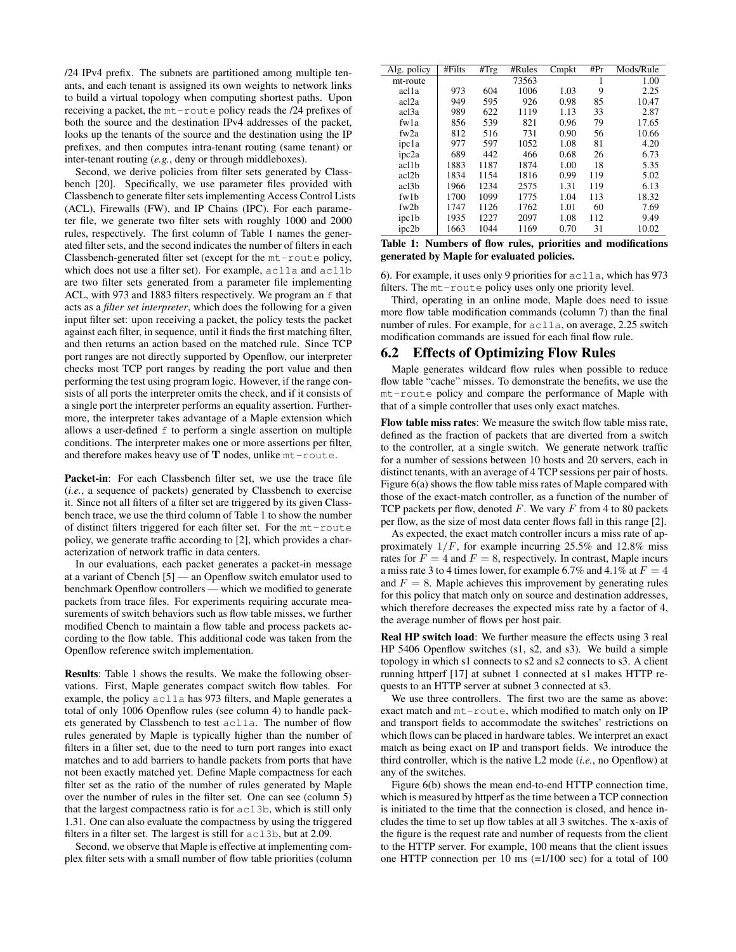/24 IPv4 prefix. The subnets are partitioned among multiple tenants, and each tenant is assigned its own weights to network links to build a virtual topology when computing shortest paths. Upon receiving a packet, the mt-route policy reads the /24 prefixes of both the source and the destination IPv4 addresses of the packet, looks up the tenants of the source and the destination using the IP prefixes, and then computes intra-tenant routing (same tenant) or inter-tenant routing (*e.g.*, deny or through middleboxes).

Second, we derive policies from filter sets generated by Classbench [20]. Specifically, we use parameter files provided with Classbench to generate filter sets implementing Access Control Lists (ACL), Firewalls (FW), and IP Chains (IPC). For each parameter file, we generate two filter sets with roughly 1000 and 2000 rules, respectively. The first column of Table 1 names the generated filter sets, and the second indicates the number of filters in each Classbench-generated filter set (except for the mt-route policy, which does not use a filter set). For example, aclla and acllb are two filter sets generated from a parameter file implementing ACL, with 973 and 1883 filters respectively. We program an f that acts as a *filter set interpreter*, which does the following for a given input filter set: upon receiving a packet, the policy tests the packet against each filter, in sequence, until it finds the first matching filter, and then returns an action based on the matched rule. Since TCP port ranges are not directly supported by Openflow, our interpreter checks most TCP port ranges by reading the port value and then performing the test using program logic. However, if the range consists of all ports the interpreter omits the check, and if it consists of a single port the interpreter performs an equality assertion. Furthermore, the interpreter takes advantage of a Maple extension which allows a user-defined  $f$  to perform a single assertion on multiple conditions. The interpreter makes one or more assertions per filter, and therefore makes heavy use of T nodes, unlike  $mt$ -route.

Packet-in: For each Classbench filter set, we use the trace file (*i.e.*, a sequence of packets) generated by Classbench to exercise it. Since not all filters of a filter set are triggered by its given Classbench trace, we use the third column of Table 1 to show the number of distinct filters triggered for each filter set. For the mt-route policy, we generate traffic according to [2], which provides a characterization of network traffic in data centers.

In our evaluations, each packet generates a packet-in message at a variant of Cbench [5] — an Openflow switch emulator used to benchmark Openflow controllers — which we modified to generate packets from trace files. For experiments requiring accurate measurements of switch behaviors such as flow table misses, we further modified Cbench to maintain a flow table and process packets according to the flow table. This additional code was taken from the Openflow reference switch implementation.

Results: Table 1 shows the results. We make the following observations. First, Maple generates compact switch flow tables. For example, the policy acl1a has 973 filters, and Maple generates a total of only 1006 Openflow rules (see column 4) to handle packets generated by Classbench to test acl1a. The number of flow rules generated by Maple is typically higher than the number of filters in a filter set, due to the need to turn port ranges into exact matches and to add barriers to handle packets from ports that have not been exactly matched yet. Define Maple compactness for each filter set as the ratio of the number of rules generated by Maple over the number of rules in the filter set. One can see (column 5) that the largest compactness ratio is for acl3b, which is still only 1.31. One can also evaluate the compactness by using the triggered filters in a filter set. The largest is still for acl3b, but at 2.09.

Second, we observe that Maple is effective at implementing complex filter sets with a small number of flow table priorities (column

| #Filts | $\overline{\text{HTrg}}$ | #Rules | Cmpkt | #Pr | Mods/Rule |
|--------|--------------------------|--------|-------|-----|-----------|
|        |                          | 73563  |       |     | 1.00      |
| 973    | 604                      | 1006   | 1.03  | 9   | 2.25      |
| 949    | 595                      | 926    | 0.98  | 85  | 10.47     |
| 989    | 622                      | 1119   | 1.13  | 33  | 2.87      |
| 856    | 539                      | 821    | 0.96  | 79  | 17.65     |
| 812    | 516                      | 731    | 0.90  | 56  | 10.66     |
| 977    | 597                      | 1052   | 1.08  | 81  | 4.20      |
| 689    | 442                      | 466    | 0.68  | 26  | 6.73      |
| 1883   | 1187                     | 1874   | 1.00  | 18  | 5.35      |
| 1834   | 1154                     | 1816   | 0.99  | 119 | 5.02      |
| 1966   | 1234                     | 2575   | 1.31  | 119 | 6.13      |
| 1700   | 1099                     | 1775   | 1.04  | 113 | 18.32     |
| 1747   | 1126                     | 1762   | 1.01  | 60  | 7.69      |
| 1935   | 1227                     | 2097   | 1.08  | 112 | 9.49      |
| 1663   | 1044                     | 1169   | 0.70  | 31  | 10.02     |
|        |                          |        |       |     |           |

Table 1: Numbers of flow rules, priorities and modifications generated by Maple for evaluated policies.

6). For example, it uses only 9 priorities for  $ac11a$ , which has 973 filters. The mt-route policy uses only one priority level.

Third, operating in an online mode, Maple does need to issue more flow table modification commands (column 7) than the final number of rules. For example, for  $ac11a$ , on average, 2.25 switch modification commands are issued for each final flow rule.

#### 6.2 Effects of Optimizing Flow Rules

Maple generates wildcard flow rules when possible to reduce flow table "cache" misses. To demonstrate the benefits, we use the mt-route policy and compare the performance of Maple with that of a simple controller that uses only exact matches.

Flow table miss rates: We measure the switch flow table miss rate, defined as the fraction of packets that are diverted from a switch to the controller, at a single switch. We generate network traffic for a number of sessions between 10 hosts and 20 servers, each in distinct tenants, with an average of 4 TCP sessions per pair of hosts. Figure 6(a) shows the flow table miss rates of Maple compared with those of the exact-match controller, as a function of the number of TCP packets per flow, denoted  $F$ . We vary  $F$  from 4 to 80 packets per flow, as the size of most data center flows fall in this range [2].

As expected, the exact match controller incurs a miss rate of approximately  $1/F$ , for example incurring 25.5% and 12.8% miss rates for  $F = 4$  and  $F = 8$ , respectively. In contrast, Maple incurs a miss rate 3 to 4 times lower, for example 6.7% and 4.1% at  $F = 4$ and  $F = 8$ . Maple achieves this improvement by generating rules for this policy that match only on source and destination addresses, which therefore decreases the expected miss rate by a factor of 4, the average number of flows per host pair.

Real HP switch load: We further measure the effects using 3 real HP 5406 Openflow switches (s1, s2, and s3). We build a simple topology in which s1 connects to s2 and s2 connects to s3. A client running httperf [17] at subnet 1 connected at s1 makes HTTP requests to an HTTP server at subnet 3 connected at s3.

We use three controllers. The first two are the same as above: exact match and mt-route, which modified to match only on IP and transport fields to accommodate the switches' restrictions on which flows can be placed in hardware tables. We interpret an exact match as being exact on IP and transport fields. We introduce the third controller, which is the native L2 mode (*i.e.*, no Openflow) at any of the switches.

Figure 6(b) shows the mean end-to-end HTTP connection time, which is measured by httperf as the time between a TCP connection is initiated to the time that the connection is closed, and hence includes the time to set up flow tables at all 3 switches. The x-axis of the figure is the request rate and number of requests from the client to the HTTP server. For example, 100 means that the client issues one HTTP connection per 10 ms (=1/100 sec) for a total of 100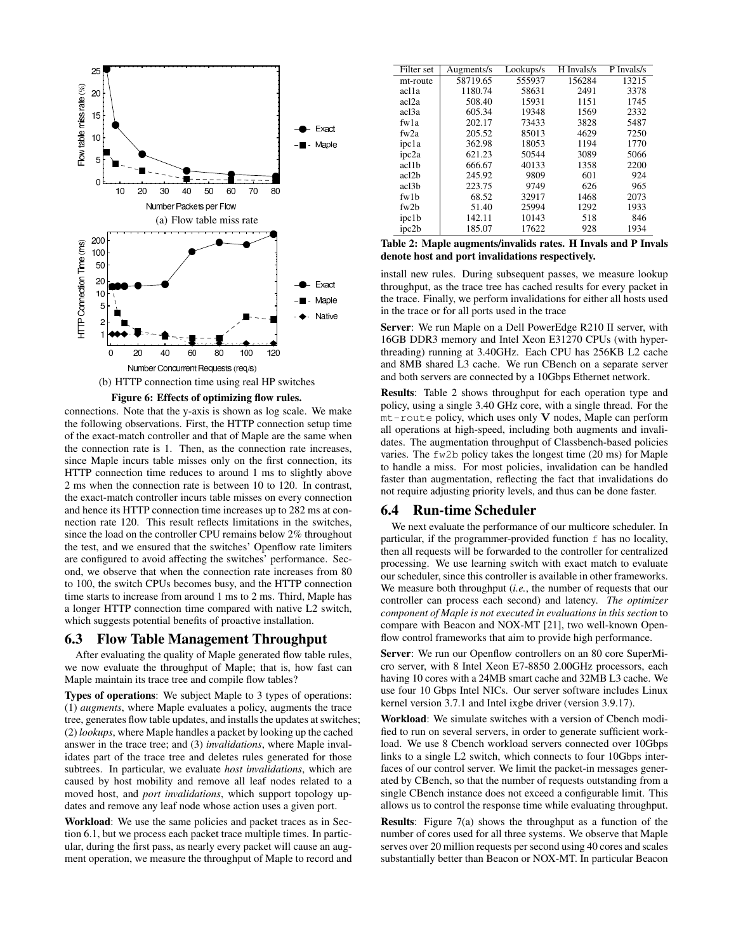

connections. Note that the y-axis is shown as log scale. We make the following observations. First, the HTTP connection setup time of the exact-match controller and that of Maple are the same when the connection rate is 1. Then, as the connection rate increases, since Maple incurs table misses only on the first connection, its HTTP connection time reduces to around 1 ms to slightly above 2 ms when the connection rate is between 10 to 120. In contrast, the exact-match controller incurs table misses on every connection and hence its HTTP connection time increases up to 282 ms at connection rate 120. This result reflects limitations in the switches, since the load on the controller CPU remains below 2% throughout the test, and we ensured that the switches' Openflow rate limiters are configured to avoid affecting the switches' performance. Second, we observe that when the connection rate increases from 80 to 100, the switch CPUs becomes busy, and the HTTP connection time starts to increase from around 1 ms to 2 ms. Third, Maple has a longer HTTP connection time compared with native L2 switch, which suggests potential benefits of proactive installation.

#### 6.3 Flow Table Management Throughput

After evaluating the quality of Maple generated flow table rules, we now evaluate the throughput of Maple; that is, how fast can Maple maintain its trace tree and compile flow tables?

Types of operations: We subject Maple to 3 types of operations: (1) *augments*, where Maple evaluates a policy, augments the trace tree, generates flow table updates, and installs the updates at switches; (2) *lookups*, where Maple handles a packet by looking up the cached answer in the trace tree; and (3) *invalidations*, where Maple invalidates part of the trace tree and deletes rules generated for those subtrees. In particular, we evaluate *host invalidations*, which are caused by host mobility and remove all leaf nodes related to a moved host, and *port invalidations*, which support topology updates and remove any leaf node whose action uses a given port.

Workload: We use the same policies and packet traces as in Section 6.1, but we process each packet trace multiple times. In particular, during the first pass, as nearly every packet will cause an augment operation, we measure the throughput of Maple to record and

| Filter set        | Augments/s | Lookups/s | H Invals/s | P Invals/s |
|-------------------|------------|-----------|------------|------------|
| mt-route          | 58719.65   | 555937    | 156284     | 13215      |
| acl1a             | 1180.74    | 58631     | 2491       | 3378       |
| acl <sub>2a</sub> | 508.40     | 15931     | 1151       | 1745       |
| acl3a             | 605.34     | 19348     | 1569       | 2332       |
| fw1a              | 202.17     | 73433     | 3828       | 5487       |
| fw2a              | 205.52     | 85013     | 4629       | 7250       |
| ipc1a             | 362.98     | 18053     | 1194       | 1770       |
| ipc2a             | 621.23     | 50544     | 3089       | 5066       |
| acl1b             | 666.67     | 40133     | 1358       | 2200       |
| acl2h             | 245.92     | 9809      | 601        | 924        |
| acl3b             | 223.75     | 9749      | 626        | 965        |
| fwlb              | 68.52      | 32917     | 1468       | 2073       |
| $f$ w $2h$        | 51.40      | 25994     | 1292       | 1933       |
| ipc1b             | 142.11     | 10143     | 518        | 846        |
| ipc2b             | 185.07     | 17622     | 928        | 1934       |

Table 2: Maple augments/invalids rates. H Invals and P Invals denote host and port invalidations respectively.

install new rules. During subsequent passes, we measure lookup throughput, as the trace tree has cached results for every packet in the trace. Finally, we perform invalidations for either all hosts used in the trace or for all ports used in the trace

Server: We run Maple on a Dell PowerEdge R210 II server, with 16GB DDR3 memory and Intel Xeon E31270 CPUs (with hyperthreading) running at 3.40GHz. Each CPU has 256KB L2 cache and 8MB shared L3 cache. We run CBench on a separate server and both servers are connected by a 10Gbps Ethernet network.

Results: Table 2 shows throughput for each operation type and policy, using a single 3.40 GHz core, with a single thread. For the mt-route policy, which uses only V nodes, Maple can perform all operations at high-speed, including both augments and invalidates. The augmentation throughput of Classbench-based policies varies. The fw2b policy takes the longest time (20 ms) for Maple to handle a miss. For most policies, invalidation can be handled faster than augmentation, reflecting the fact that invalidations do not require adjusting priority levels, and thus can be done faster.

#### 6.4 Run-time Scheduler

We next evaluate the performance of our multicore scheduler. In particular, if the programmer-provided function  $f$  has no locality, then all requests will be forwarded to the controller for centralized processing. We use learning switch with exact match to evaluate our scheduler, since this controller is available in other frameworks. We measure both throughput (*i.e.*, the number of requests that our controller can process each second) and latency. *The optimizer component of Maple is not executed in evaluations in this section* to compare with Beacon and NOX-MT [21], two well-known Openflow control frameworks that aim to provide high performance.

Server: We run our Openflow controllers on an 80 core SuperMicro server, with 8 Intel Xeon E7-8850 2.00GHz processors, each having 10 cores with a 24MB smart cache and 32MB L3 cache. We use four 10 Gbps Intel NICs. Our server software includes Linux kernel version 3.7.1 and Intel ixgbe driver (version 3.9.17).

Workload: We simulate switches with a version of Cbench modified to run on several servers, in order to generate sufficient workload. We use 8 Cbench workload servers connected over 10Gbps links to a single L2 switch, which connects to four 10Gbps interfaces of our control server. We limit the packet-in messages generated by CBench, so that the number of requests outstanding from a single CBench instance does not exceed a configurable limit. This allows us to control the response time while evaluating throughput.

Results: Figure 7(a) shows the throughput as a function of the number of cores used for all three systems. We observe that Maple serves over 20 million requests per second using 40 cores and scales substantially better than Beacon or NOX-MT. In particular Beacon